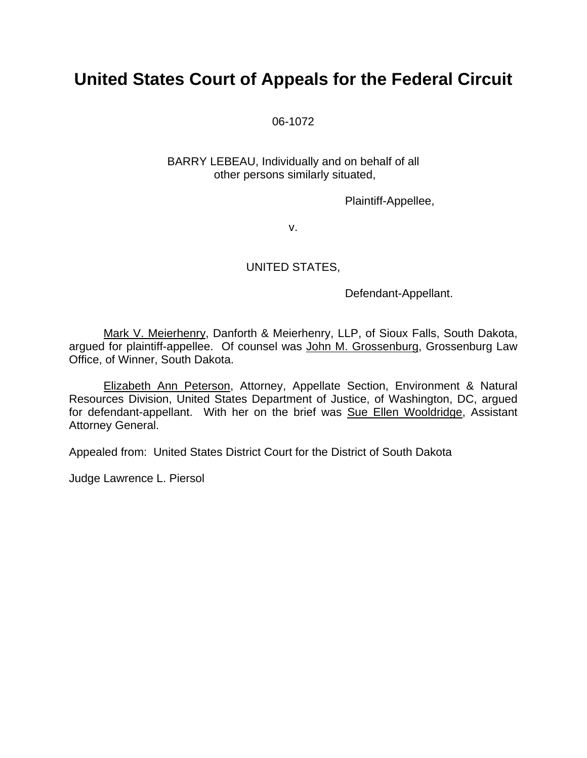# **United States Court of Appeals for the Federal Circuit**

06-1072

BARRY LEBEAU, Individually and on behalf of all other persons similarly situated,

Plaintiff-Appellee,

v.

## UNITED STATES,

Defendant-Appellant.

Mark V. Meierhenry, Danforth & Meierhenry, LLP, of Sioux Falls, South Dakota, argued for plaintiff-appellee. Of counsel was John M. Grossenburg, Grossenburg Law Office, of Winner, South Dakota.

Elizabeth Ann Peterson, Attorney, Appellate Section, Environment & Natural Resources Division, United States Department of Justice, of Washington, DC, argued for defendant-appellant. With her on the brief was Sue Ellen Wooldridge, Assistant Attorney General.

Appealed from: United States District Court for the District of South Dakota

Judge Lawrence L. Piersol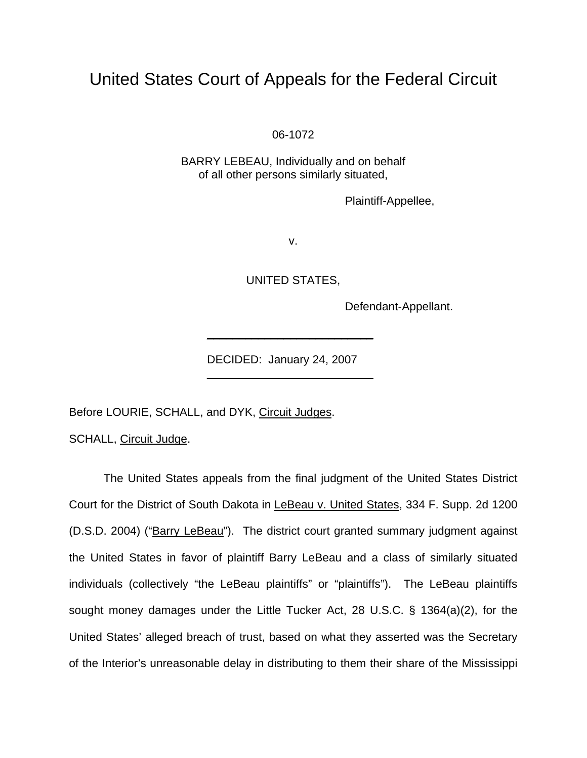# United States Court of Appeals for the Federal Circuit

06-1072

BARRY LEBEAU, Individually and on behalf of all other persons similarly situated,

Plaintiff-Appellee,

v.

UNITED STATES,

Defendant-Appellant.

DECIDED: January 24, 2007

Before LOURIE, SCHALL, and DYK, Circuit Judges.

 $\mathcal{L}_\text{max}$  and  $\mathcal{L}_\text{max}$  and  $\mathcal{L}_\text{max}$  and  $\mathcal{L}_\text{max}$  and  $\mathcal{L}_\text{max}$ 

 $\frac{1}{2}$  , and the set of the set of the set of the set of the set of the set of the set of the set of the set of the set of the set of the set of the set of the set of the set of the set of the set of the set of the set

SCHALL, Circuit Judge.

The United States appeals from the final judgment of the United States District Court for the District of South Dakota in LeBeau v. United States, 334 F. Supp. 2d 1200 (D.S.D. 2004) ("Barry LeBeau"). The district court granted summary judgment against the United States in favor of plaintiff Barry LeBeau and a class of similarly situated individuals (collectively "the LeBeau plaintiffs" or "plaintiffs"). The LeBeau plaintiffs sought money damages under the Little Tucker Act, 28 U.S.C. § 1364(a)(2), for the United States' alleged breach of trust, based on what they asserted was the Secretary of the Interior's unreasonable delay in distributing to them their share of the Mississippi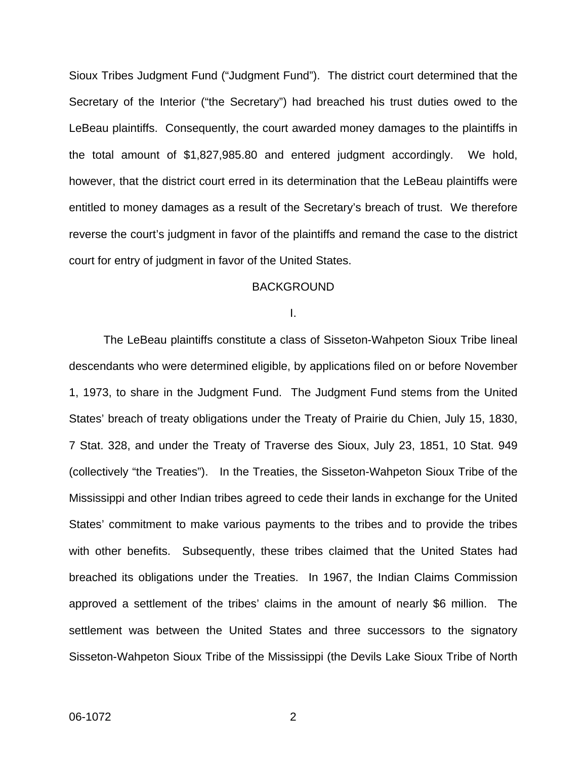Sioux Tribes Judgment Fund ("Judgment Fund"). The district court determined that the Secretary of the Interior ("the Secretary") had breached his trust duties owed to the LeBeau plaintiffs. Consequently, the court awarded money damages to the plaintiffs in the total amount of \$1,827,985.80 and entered judgment accordingly. We hold, however, that the district court erred in its determination that the LeBeau plaintiffs were entitled to money damages as a result of the Secretary's breach of trust. We therefore reverse the court's judgment in favor of the plaintiffs and remand the case to the district court for entry of judgment in favor of the United States.

### BACKGROUND

I.

The LeBeau plaintiffs constitute a class of Sisseton-Wahpeton Sioux Tribe lineal descendants who were determined eligible, by applications filed on or before November 1, 1973, to share in the Judgment Fund. The Judgment Fund stems from the United States' breach of treaty obligations under the Treaty of Prairie du Chien, July 15, 1830, 7 Stat. 328, and under the Treaty of Traverse des Sioux, July 23, 1851, 10 Stat. 949 (collectively "the Treaties"). In the Treaties, the Sisseton-Wahpeton Sioux Tribe of the Mississippi and other Indian tribes agreed to cede their lands in exchange for the United States' commitment to make various payments to the tribes and to provide the tribes with other benefits. Subsequently, these tribes claimed that the United States had breached its obligations under the Treaties. In 1967, the Indian Claims Commission approved a settlement of the tribes' claims in the amount of nearly \$6 million. The settlement was between the United States and three successors to the signatory Sisseton-Wahpeton Sioux Tribe of the Mississippi (the Devils Lake Sioux Tribe of North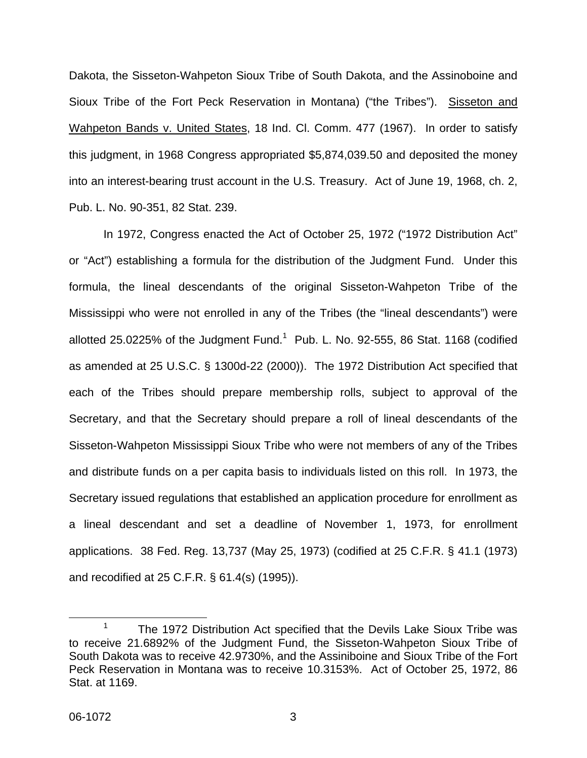Dakota, the Sisseton-Wahpeton Sioux Tribe of South Dakota, and the Assinoboine and Sioux Tribe of the Fort Peck Reservation in Montana) ("the Tribes"). Sisseton and Wahpeton Bands v. United States, 18 Ind. Cl. Comm. 477 (1967). In order to satisfy this judgment, in 1968 Congress appropriated \$5,874,039.50 and deposited the money into an interest-bearing trust account in the U.S. Treasury. Act of June 19, 1968, ch. 2, Pub. L. No. 90-351, 82 Stat. 239.

In 1972, Congress enacted the Act of October 25, 1972 ("1972 Distribution Act" or "Act") establishing a formula for the distribution of the Judgment Fund. Under this formula, the lineal descendants of the original Sisseton-Wahpeton Tribe of the Mississippi who were not enrolled in any of the Tribes (the "lineal descendants") were allotted 25.0225% of the Judgment Fund.<sup>[1](#page-3-0)</sup> Pub. L. No. 92-555, 86 Stat. 1168 (codified as amended at 25 U.S.C. § 1300d-22 (2000)). The 1972 Distribution Act specified that each of the Tribes should prepare membership rolls, subject to approval of the Secretary, and that the Secretary should prepare a roll of lineal descendants of the Sisseton-Wahpeton Mississippi Sioux Tribe who were not members of any of the Tribes and distribute funds on a per capita basis to individuals listed on this roll. In 1973, the Secretary issued regulations that established an application procedure for enrollment as a lineal descendant and set a deadline of November 1, 1973, for enrollment applications. 38 Fed. Reg. 13,737 (May 25, 1973) (codified at 25 C.F.R. § 41.1 (1973) and recodified at 25 C.F.R. § 61.4(s) (1995)).

<span id="page-3-0"></span> <sup>1</sup> The 1972 Distribution Act specified that the Devils Lake Sioux Tribe was to receive 21.6892% of the Judgment Fund, the Sisseton-Wahpeton Sioux Tribe of South Dakota was to receive 42.9730%, and the Assiniboine and Sioux Tribe of the Fort Peck Reservation in Montana was to receive 10.3153%. Act of October 25, 1972, 86 Stat. at 1169.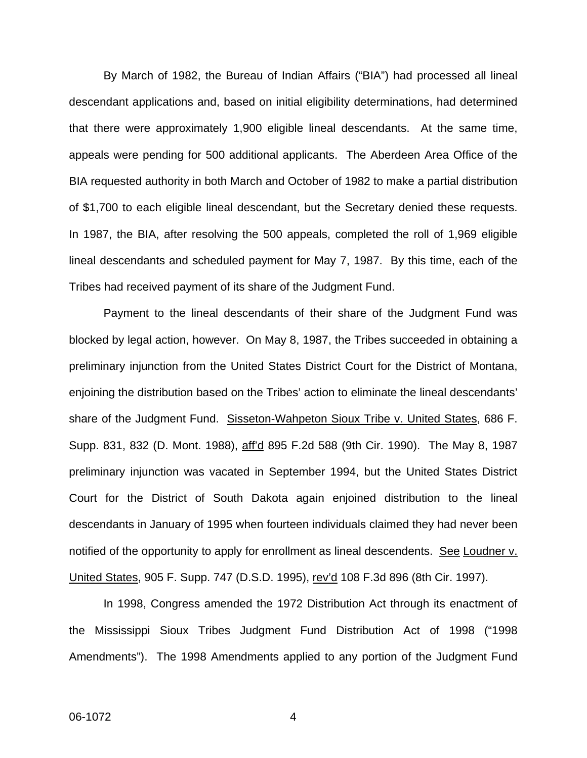By March of 1982, the Bureau of Indian Affairs ("BIA") had processed all lineal descendant applications and, based on initial eligibility determinations, had determined that there were approximately 1,900 eligible lineal descendants. At the same time, appeals were pending for 500 additional applicants. The Aberdeen Area Office of the BIA requested authority in both March and October of 1982 to make a partial distribution of \$1,700 to each eligible lineal descendant, but the Secretary denied these requests. In 1987, the BIA, after resolving the 500 appeals, completed the roll of 1,969 eligible lineal descendants and scheduled payment for May 7, 1987. By this time, each of the Tribes had received payment of its share of the Judgment Fund.

Payment to the lineal descendants of their share of the Judgment Fund was blocked by legal action, however. On May 8, 1987, the Tribes succeeded in obtaining a preliminary injunction from the United States District Court for the District of Montana, enjoining the distribution based on the Tribes' action to eliminate the lineal descendants' share of the Judgment Fund. Sisseton-Wahpeton Sioux Tribe v. United States, 686 F. Supp. 831, 832 (D. Mont. 1988), aff'd 895 F.2d 588 (9th Cir. 1990). The May 8, 1987 preliminary injunction was vacated in September 1994, but the United States District Court for the District of South Dakota again enjoined distribution to the lineal descendants in January of 1995 when fourteen individuals claimed they had never been notified of the opportunity to apply for enrollment as lineal descendents. See Loudner v. United States, 905 F. Supp. 747 (D.S.D. 1995), rev'd 108 F.3d 896 (8th Cir. 1997).

In 1998, Congress amended the 1972 Distribution Act through its enactment of the Mississippi Sioux Tribes Judgment Fund Distribution Act of 1998 ("1998 Amendments"). The 1998 Amendments applied to any portion of the Judgment Fund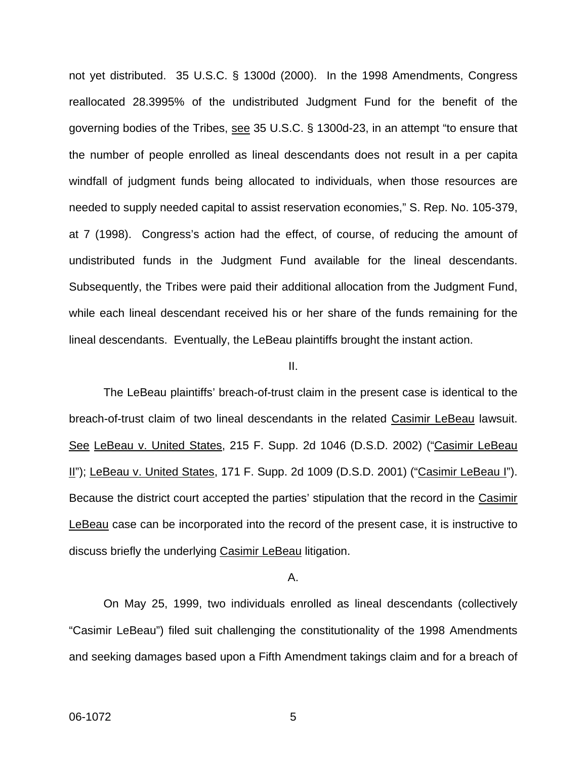not yet distributed. 35 U.S.C. § 1300d (2000). In the 1998 Amendments, Congress reallocated 28.3995% of the undistributed Judgment Fund for the benefit of the governing bodies of the Tribes, see 35 U.S.C. § 1300d-23, in an attempt "to ensure that the number of people enrolled as lineal descendants does not result in a per capita windfall of judgment funds being allocated to individuals, when those resources are needed to supply needed capital to assist reservation economies," S. Rep. No. 105-379, at 7 (1998). Congress's action had the effect, of course, of reducing the amount of undistributed funds in the Judgment Fund available for the lineal descendants. Subsequently, the Tribes were paid their additional allocation from the Judgment Fund, while each lineal descendant received his or her share of the funds remaining for the lineal descendants. Eventually, the LeBeau plaintiffs brought the instant action.

#### II.

The LeBeau plaintiffs' breach-of-trust claim in the present case is identical to the breach-of-trust claim of two lineal descendants in the related Casimir LeBeau lawsuit. See LeBeau v. United States, 215 F. Supp. 2d 1046 (D.S.D. 2002) ("Casimir LeBeau II"); LeBeau v. United States, 171 F. Supp. 2d 1009 (D.S.D. 2001) ("Casimir LeBeau I"). Because the district court accepted the parties' stipulation that the record in the Casimir LeBeau case can be incorporated into the record of the present case, it is instructive to discuss briefly the underlying Casimir LeBeau litigation.

#### A.

On May 25, 1999, two individuals enrolled as lineal descendants (collectively "Casimir LeBeau") filed suit challenging the constitutionality of the 1998 Amendments and seeking damages based upon a Fifth Amendment takings claim and for a breach of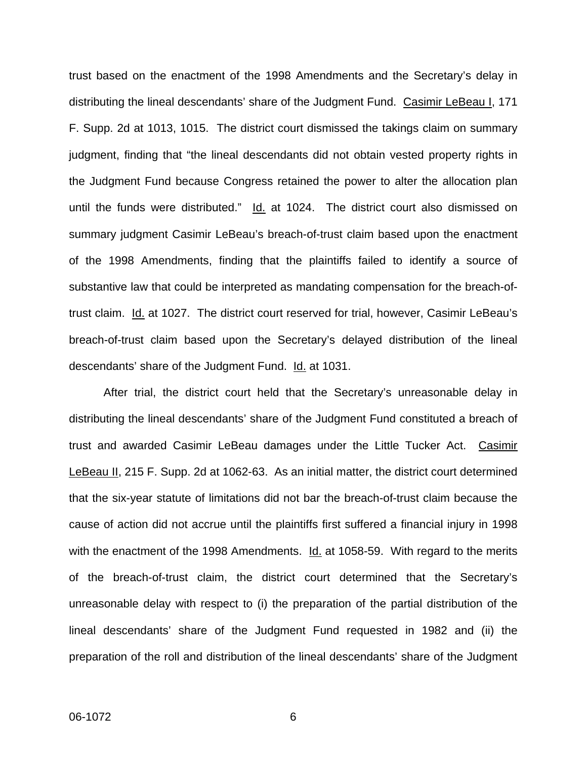trust based on the enactment of the 1998 Amendments and the Secretary's delay in distributing the lineal descendants' share of the Judgment Fund. Casimir LeBeau I, 171 F. Supp. 2d at 1013, 1015. The district court dismissed the takings claim on summary judgment, finding that "the lineal descendants did not obtain vested property rights in the Judgment Fund because Congress retained the power to alter the allocation plan until the funds were distributed." Id. at 1024. The district court also dismissed on summary judgment Casimir LeBeau's breach-of-trust claim based upon the enactment of the 1998 Amendments, finding that the plaintiffs failed to identify a source of substantive law that could be interpreted as mandating compensation for the breach-oftrust claim. Id. at 1027. The district court reserved for trial, however, Casimir LeBeau's breach-of-trust claim based upon the Secretary's delayed distribution of the lineal descendants' share of the Judgment Fund. Id. at 1031.

After trial, the district court held that the Secretary's unreasonable delay in distributing the lineal descendants' share of the Judgment Fund constituted a breach of trust and awarded Casimir LeBeau damages under the Little Tucker Act. Casimir LeBeau II, 215 F. Supp. 2d at 1062-63. As an initial matter, the district court determined that the six-year statute of limitations did not bar the breach-of-trust claim because the cause of action did not accrue until the plaintiffs first suffered a financial injury in 1998 with the enactment of the 1998 Amendments. Id. at 1058-59. With regard to the merits of the breach-of-trust claim, the district court determined that the Secretary's unreasonable delay with respect to (i) the preparation of the partial distribution of the lineal descendants' share of the Judgment Fund requested in 1982 and (ii) the preparation of the roll and distribution of the lineal descendants' share of the Judgment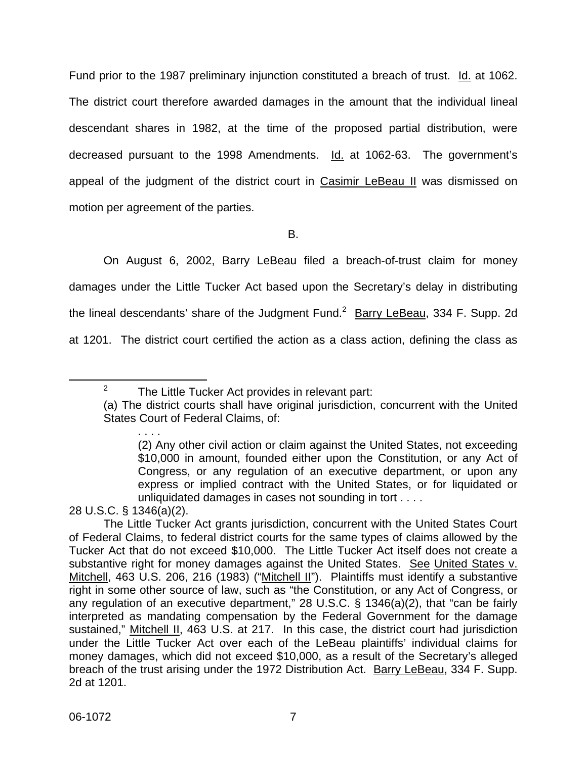Fund prior to the 1987 preliminary injunction constituted a breach of trust. Id. at 1062. The district court therefore awarded damages in the amount that the individual lineal descendant shares in 1982, at the time of the proposed partial distribution, were decreased pursuant to the 1998 Amendments. Id. at 1062-63. The government's appeal of the judgment of the district court in Casimir LeBeau II was dismissed on motion per agreement of the parties.

B.

On August 6, 2002, Barry LeBeau filed a breach-of-trust claim for money damages under the Little Tucker Act based upon the Secretary's delay in distributing the lineal descendants' share of the Judgment Fund.<sup>[2](#page-7-0)</sup> Barry LeBeau, 334 F. Supp. 2d at 1201. The district court certified the action as a class action, defining the class as

28 U.S.C. § 1346(a)(2).

 $\frac{1}{2}$  $2^2$  The Little Tucker Act provides in relevant part:

<span id="page-7-0"></span><sup>(</sup>a) The district courts shall have original jurisdiction, concurrent with the United States Court of Federal Claims, of:

<sup>. . . .</sup>  (2) Any other civil action or claim against the United States, not exceeding \$10,000 in amount, founded either upon the Constitution, or any Act of Congress, or any regulation of an executive department, or upon any express or implied contract with the United States, or for liquidated or unliquidated damages in cases not sounding in tort . . . .

The Little Tucker Act grants jurisdiction, concurrent with the United States Court of Federal Claims, to federal district courts for the same types of claims allowed by the Tucker Act that do not exceed \$10,000. The Little Tucker Act itself does not create a substantive right for money damages against the United States. See United States v. Mitchell, 463 U.S. 206, 216 (1983) ("Mitchell II"). Plaintiffs must identify a substantive right in some other source of law, such as "the Constitution, or any Act of Congress, or any regulation of an executive department," 28 U.S.C. § 1346(a)(2), that "can be fairly interpreted as mandating compensation by the Federal Government for the damage sustained," Mitchell II, 463 U.S. at 217. In this case, the district court had jurisdiction under the Little Tucker Act over each of the LeBeau plaintiffs' individual claims for money damages, which did not exceed \$10,000, as a result of the Secretary's alleged breach of the trust arising under the 1972 Distribution Act. Barry LeBeau, 334 F. Supp. 2d at 1201.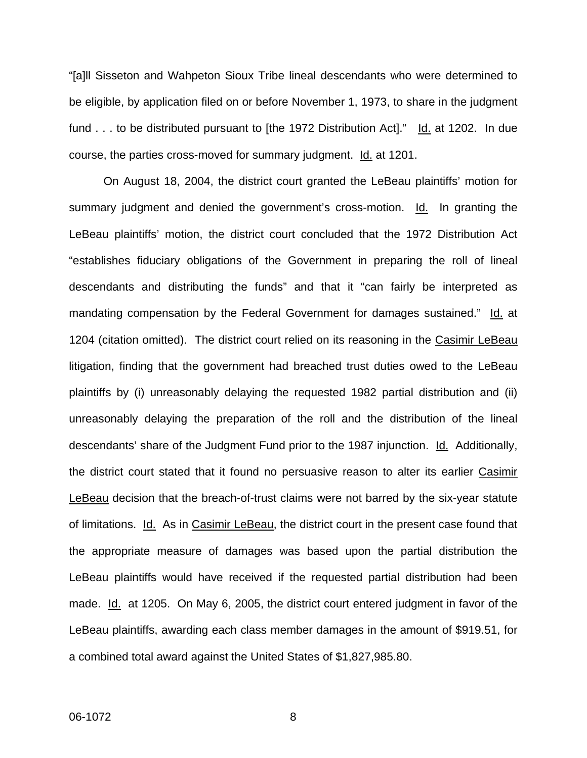"[a]ll Sisseton and Wahpeton Sioux Tribe lineal descendants who were determined to be eligible, by application filed on or before November 1, 1973, to share in the judgment fund . . . to be distributed pursuant to [the 1972 Distribution Act]." Id. at 1202. In due course, the parties cross-moved for summary judgment. Id. at 1201.

On August 18, 2004, the district court granted the LeBeau plaintiffs' motion for summary judgment and denied the government's cross-motion. Id. In granting the LeBeau plaintiffs' motion, the district court concluded that the 1972 Distribution Act "establishes fiduciary obligations of the Government in preparing the roll of lineal descendants and distributing the funds" and that it "can fairly be interpreted as mandating compensation by the Federal Government for damages sustained." Id. at 1204 (citation omitted). The district court relied on its reasoning in the Casimir LeBeau litigation, finding that the government had breached trust duties owed to the LeBeau plaintiffs by (i) unreasonably delaying the requested 1982 partial distribution and (ii) unreasonably delaying the preparation of the roll and the distribution of the lineal descendants' share of the Judgment Fund prior to the 1987 injunction. Id. Additionally, the district court stated that it found no persuasive reason to alter its earlier Casimir LeBeau decision that the breach-of-trust claims were not barred by the six-year statute of limitations. Id. As in Casimir LeBeau, the district court in the present case found that the appropriate measure of damages was based upon the partial distribution the LeBeau plaintiffs would have received if the requested partial distribution had been made. Id. at 1205. On May 6, 2005, the district court entered judgment in favor of the LeBeau plaintiffs, awarding each class member damages in the amount of \$919.51, for a combined total award against the United States of \$1,827,985.80.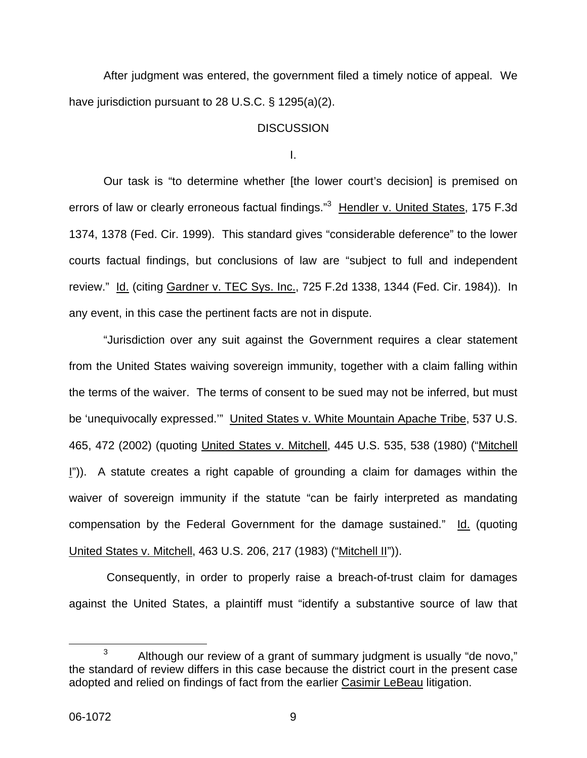After judgment was entered, the government filed a timely notice of appeal. We have jurisdiction pursuant to 28 U.S.C. § 1295(a)(2).

## **DISCUSSION**

I.

Our task is "to determine whether [the lower court's decision] is premised on errors of law or clearly erroneous factual findings."<sup>[3](#page-9-0)</sup> Hendler v. United States, 175 F.3d 1374, 1378 (Fed. Cir. 1999). This standard gives "considerable deference" to the lower courts factual findings, but conclusions of law are "subject to full and independent review." Id. (citing Gardner v. TEC Sys. Inc., 725 F.2d 1338, 1344 (Fed. Cir. 1984)). In any event, in this case the pertinent facts are not in dispute.

"Jurisdiction over any suit against the Government requires a clear statement from the United States waiving sovereign immunity, together with a claim falling within the terms of the waiver. The terms of consent to be sued may not be inferred, but must be 'unequivocally expressed.'" United States v. White Mountain Apache Tribe, 537 U.S. 465, 472 (2002) (quoting United States v. Mitchell, 445 U.S. 535, 538 (1980) ("Mitchell I")). A statute creates a right capable of grounding a claim for damages within the waiver of sovereign immunity if the statute "can be fairly interpreted as mandating compensation by the Federal Government for the damage sustained." Id. (quoting United States v. Mitchell, 463 U.S. 206, 217 (1983) ("Mitchell II")).

Consequently, in order to properly raise a breach-of-trust claim for damages against the United States, a plaintiff must "identify a substantive source of law that

<span id="page-9-0"></span> $3$  Although our review of a grant of summary judgment is usually "de novo," the standard of review differs in this case because the district court in the present case adopted and relied on findings of fact from the earlier Casimir LeBeau litigation.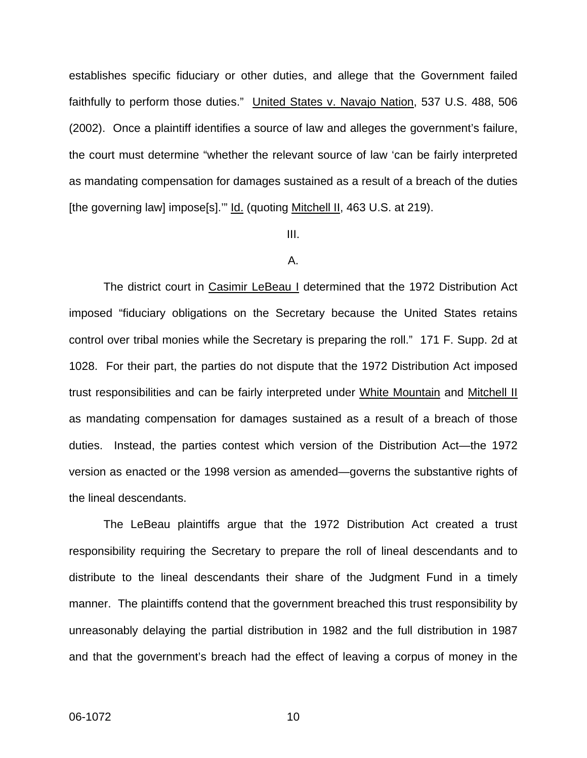establishes specific fiduciary or other duties, and allege that the Government failed faithfully to perform those duties." United States v. Navajo Nation, 537 U.S. 488, 506 (2002). Once a plaintiff identifies a source of law and alleges the government's failure, the court must determine "whether the relevant source of law 'can be fairly interpreted as mandating compensation for damages sustained as a result of a breach of the duties [the governing law] impose[s]."" **Id.** (quoting Mitchell II, 463 U.S. at 219).

#### III.

### A.

The district court in Casimir LeBeau I determined that the 1972 Distribution Act imposed "fiduciary obligations on the Secretary because the United States retains control over tribal monies while the Secretary is preparing the roll." 171 F. Supp. 2d at 1028. For their part, the parties do not dispute that the 1972 Distribution Act imposed trust responsibilities and can be fairly interpreted under White Mountain and Mitchell II as mandating compensation for damages sustained as a result of a breach of those duties. Instead, the parties contest which version of the Distribution Act—the 1972 version as enacted or the 1998 version as amended—governs the substantive rights of the lineal descendants.

The LeBeau plaintiffs argue that the 1972 Distribution Act created a trust responsibility requiring the Secretary to prepare the roll of lineal descendants and to distribute to the lineal descendants their share of the Judgment Fund in a timely manner. The plaintiffs contend that the government breached this trust responsibility by unreasonably delaying the partial distribution in 1982 and the full distribution in 1987 and that the government's breach had the effect of leaving a corpus of money in the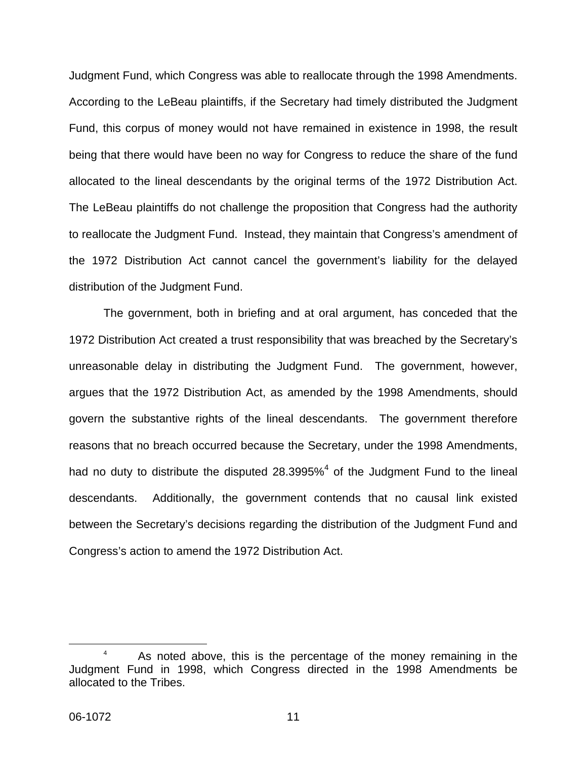Judgment Fund, which Congress was able to reallocate through the 1998 Amendments. According to the LeBeau plaintiffs, if the Secretary had timely distributed the Judgment Fund, this corpus of money would not have remained in existence in 1998, the result being that there would have been no way for Congress to reduce the share of the fund allocated to the lineal descendants by the original terms of the 1972 Distribution Act. The LeBeau plaintiffs do not challenge the proposition that Congress had the authority to reallocate the Judgment Fund. Instead, they maintain that Congress's amendment of the 1972 Distribution Act cannot cancel the government's liability for the delayed distribution of the Judgment Fund.

The government, both in briefing and at oral argument, has conceded that the 1972 Distribution Act created a trust responsibility that was breached by the Secretary's unreasonable delay in distributing the Judgment Fund. The government, however, argues that the 1972 Distribution Act, as amended by the 1998 Amendments, should govern the substantive rights of the lineal descendants. The government therefore reasons that no breach occurred because the Secretary, under the 1998 Amendments, had no duty to distribute the disputed 28.3995% $^4$  $^4$  of the Judgment Fund to the lineal descendants. Additionally, the government contends that no causal link existed between the Secretary's decisions regarding the distribution of the Judgment Fund and Congress's action to amend the 1972 Distribution Act.

<span id="page-11-0"></span> $\begin{array}{c|c}\n\hline\n\end{array}$ <sup>4</sup> As noted above, this is the percentage of the money remaining in the Judgment Fund in 1998, which Congress directed in the 1998 Amendments be allocated to the Tribes.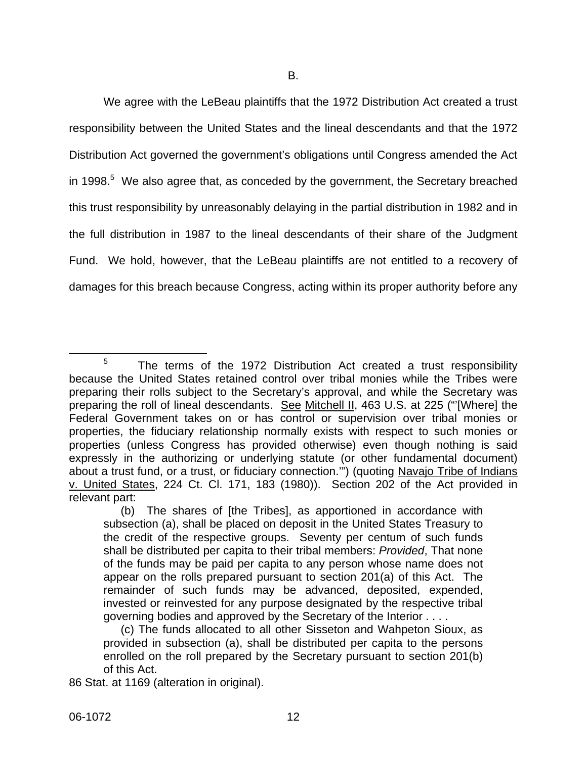We agree with the LeBeau plaintiffs that the 1972 Distribution Act created a trust responsibility between the United States and the lineal descendants and that the 1972 Distribution Act governed the government's obligations until Congress amended the Act in 1998.<sup>[5](#page-12-0)</sup> We also agree that, as conceded by the government, the Secretary breached this trust responsibility by unreasonably delaying in the partial distribution in 1982 and in the full distribution in 1987 to the lineal descendants of their share of the Judgment Fund. We hold, however, that the LeBeau plaintiffs are not entitled to a recovery of damages for this breach because Congress, acting within its proper authority before any

<span id="page-12-0"></span><sup>&</sup>lt;sup>5</sup> The terms of the 1972 Distribution Act created a trust responsibility because the United States retained control over tribal monies while the Tribes were preparing their rolls subject to the Secretary's approval, and while the Secretary was preparing the roll of lineal descendants. See Mitchell II, 463 U.S. at 225 ("'[Where] the Federal Government takes on or has control or supervision over tribal monies or properties, the fiduciary relationship normally exists with respect to such monies or properties (unless Congress has provided otherwise) even though nothing is said expressly in the authorizing or underlying statute (or other fundamental document) about a trust fund, or a trust, or fiduciary connection.'") (quoting Navajo Tribe of Indians v. United States, 224 Ct. Cl. 171, 183 (1980)). Section 202 of the Act provided in relevant part:

<sup>(</sup>b) The shares of [the Tribes], as apportioned in accordance with subsection (a), shall be placed on deposit in the United States Treasury to the credit of the respective groups. Seventy per centum of such funds shall be distributed per capita to their tribal members: *Provided*, That none of the funds may be paid per capita to any person whose name does not appear on the rolls prepared pursuant to section 201(a) of this Act. The remainder of such funds may be advanced, deposited, expended, invested or reinvested for any purpose designated by the respective tribal governing bodies and approved by the Secretary of the Interior . . . .

<sup>(</sup>c) The funds allocated to all other Sisseton and Wahpeton Sioux, as provided in subsection (a), shall be distributed per capita to the persons enrolled on the roll prepared by the Secretary pursuant to section 201(b) of this Act.

<sup>86</sup> Stat. at 1169 (alteration in original).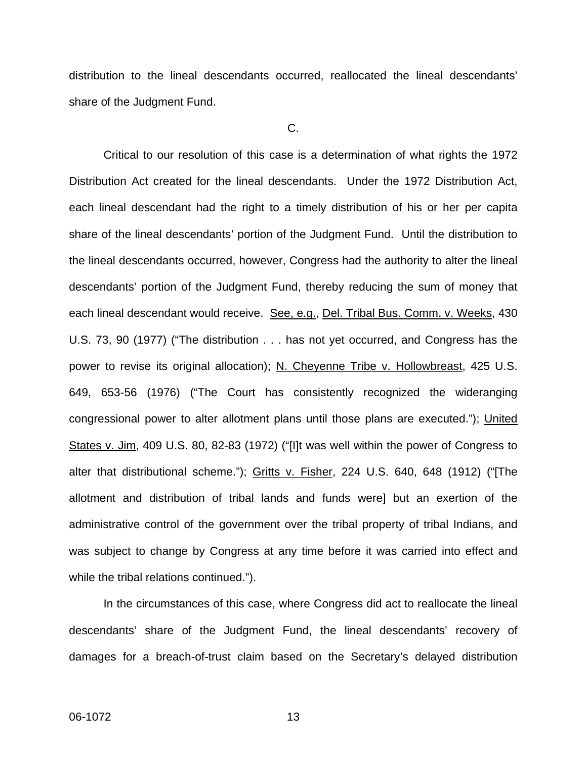distribution to the lineal descendants occurred, reallocated the lineal descendants' share of the Judgment Fund.

C.

Critical to our resolution of this case is a determination of what rights the 1972 Distribution Act created for the lineal descendants. Under the 1972 Distribution Act, each lineal descendant had the right to a timely distribution of his or her per capita share of the lineal descendants' portion of the Judgment Fund. Until the distribution to the lineal descendants occurred, however, Congress had the authority to alter the lineal descendants' portion of the Judgment Fund, thereby reducing the sum of money that each lineal descendant would receive. See, e.g., Del. Tribal Bus. Comm. v. Weeks, 430 U.S. 73, 90 (1977) ("The distribution . . . has not yet occurred, and Congress has the power to revise its original allocation); N. Cheyenne Tribe v. Hollowbreast, 425 U.S. 649, 653-56 (1976) ("The Court has consistently recognized the wideranging congressional power to alter allotment plans until those plans are executed."); United States v. Jim, 409 U.S. 80, 82-83 (1972) ("[I]t was well within the power of Congress to alter that distributional scheme."); Gritts v. Fisher, 224 U.S. 640, 648 (1912) ("[The allotment and distribution of tribal lands and funds were] but an exertion of the administrative control of the government over the tribal property of tribal Indians, and was subject to change by Congress at any time before it was carried into effect and while the tribal relations continued.").

In the circumstances of this case, where Congress did act to reallocate the lineal descendants' share of the Judgment Fund, the lineal descendants' recovery of damages for a breach-of-trust claim based on the Secretary's delayed distribution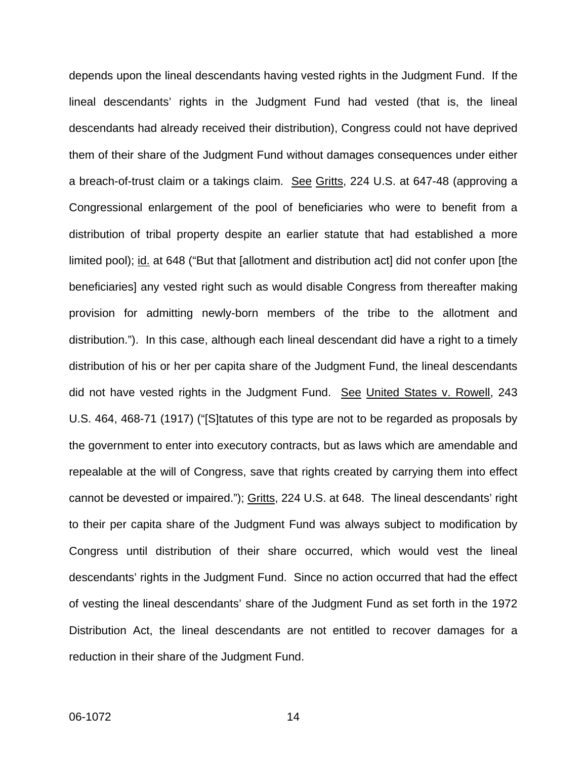depends upon the lineal descendants having vested rights in the Judgment Fund. If the lineal descendants' rights in the Judgment Fund had vested (that is, the lineal descendants had already received their distribution), Congress could not have deprived them of their share of the Judgment Fund without damages consequences under either a breach-of-trust claim or a takings claim. See Gritts, 224 U.S. at 647-48 (approving a Congressional enlargement of the pool of beneficiaries who were to benefit from a distribution of tribal property despite an earlier statute that had established a more limited pool); id. at 648 ("But that [allotment and distribution act] did not confer upon [the beneficiaries] any vested right such as would disable Congress from thereafter making provision for admitting newly-born members of the tribe to the allotment and distribution."). In this case, although each lineal descendant did have a right to a timely distribution of his or her per capita share of the Judgment Fund, the lineal descendants did not have vested rights in the Judgment Fund. See United States v. Rowell, 243 U.S. 464, 468-71 (1917) ("[S]tatutes of this type are not to be regarded as proposals by the government to enter into executory contracts, but as laws which are amendable and repealable at the will of Congress, save that rights created by carrying them into effect cannot be devested or impaired."); Gritts, 224 U.S. at 648. The lineal descendants' right to their per capita share of the Judgment Fund was always subject to modification by Congress until distribution of their share occurred, which would vest the lineal descendants' rights in the Judgment Fund. Since no action occurred that had the effect of vesting the lineal descendants' share of the Judgment Fund as set forth in the 1972 Distribution Act, the lineal descendants are not entitled to recover damages for a reduction in their share of the Judgment Fund.